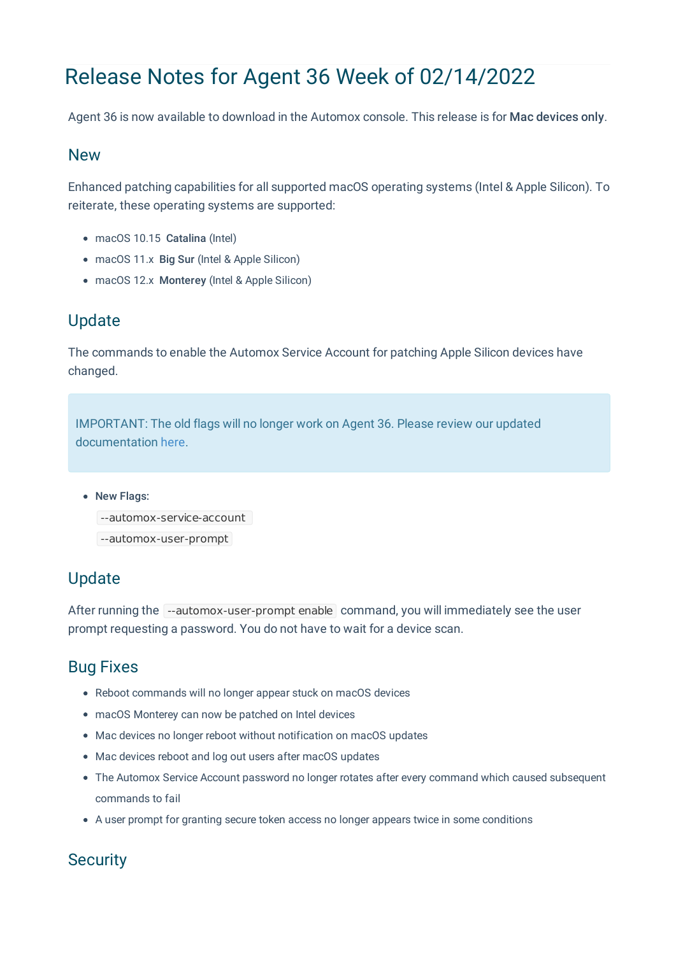# Release Notes for Agent 36 Week of 02/14/2022

Agent 36 is now available to download in the Automox console. This release is for Mac devices only.

#### New

Enhanced patching capabilities for all supported macOS operating systems (Intel & Apple Silicon). To reiterate, these operating systems are supported:

- macOS 10.15 Catalina (Intel)
- macOS 11.x Big Sur (Intel & Apple Silicon)
- macOS 12.x Monterey (Intel & Apple Silicon)

# Update

The commands to enable the Automox Service Account for patching Apple Silicon devices have changed.

IMPORTANT: The old flags will no longer work on Agent 36. Please review our updated documentation here.

#### • New Flags:

```
--automox-service-account
```
--automox-user-prompt

# Update

After running the --automox-user-prompt enable command, you will immediately see the user prompt requesting a password. You do not have to wait for a device scan.

# Bug Fixes

- Reboot commands will no longer appear stuck on macOS devices
- macOS Monterey can now be patched on Intel devices
- Mac devices no longer reboot without notification on macOS updates
- Mac devices reboot and log out users after macOS updates
- The Automox Service Account password no longer rotates after every command which caused subsequent commands to fail
- A user prompt for granting secure token access no longer appears twice in some conditions

### **Security**